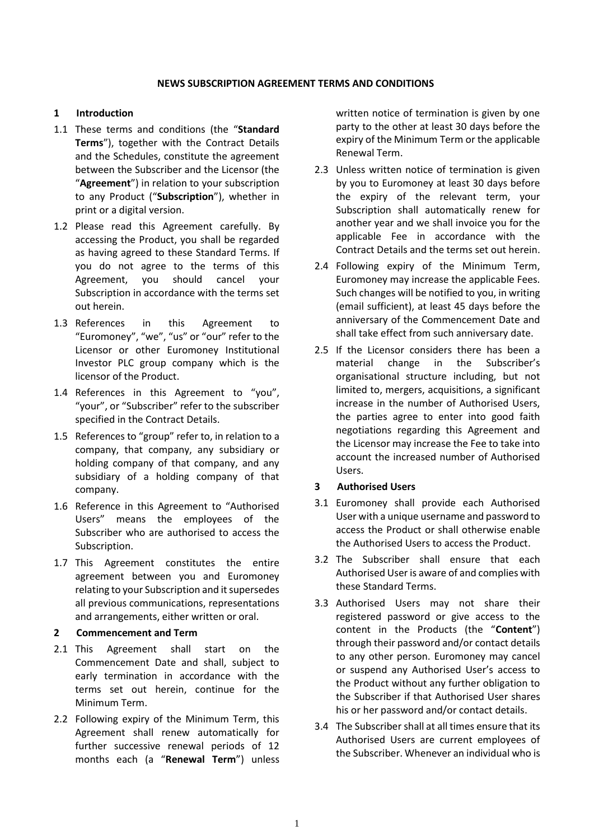#### **NEWS SUBSCRIPTION AGREEMENT TERMS AND CONDITIONS**

### **1 Introduction**

- 1.1 These terms and conditions (the "**Standard Terms**"), together with the Contract Details and the Schedules, constitute the agreement between the Subscriber and the Licensor (the "**Agreement**") in relation to your subscription to any Product ("**Subscription**"), whether in print or a digital version.
- 1.2 Please read this Agreement carefully. By accessing the Product, you shall be regarded as having agreed to these Standard Terms. If you do not agree to the terms of this Agreement, you should cancel your Subscription in accordance with the terms set out herein.
- 1.3 References in this Agreement to "Euromoney", "we", "us" or "our" refer to the Licensor or other Euromoney Institutional Investor PLC group company which is the licensor of the Product.
- 1.4 References in this Agreement to "you", "your", or "Subscriber" refer to the subscriber specified in the Contract Details.
- 1.5 References to "group" refer to, in relation to a company, that company, any subsidiary or holding company of that company, and any subsidiary of a holding company of that company.
- 1.6 Reference in this Agreement to "Authorised Users" means the employees of the Subscriber who are authorised to access the Subscription.
- 1.7 This Agreement constitutes the entire agreement between you and Euromoney relating to your Subscription and it supersedes all previous communications, representations and arrangements, either written or oral.

### **2 Commencement and Term**

- 2.1 This Agreement shall start on the Commencement Date and shall, subject to early termination in accordance with the terms set out herein, continue for the Minimum Term.
- 2.2 Following expiry of the Minimum Term, this Agreement shall renew automatically for further successive renewal periods of 12 months each (a "**Renewal Term**") unless

written notice of termination is given by one party to the other at least 30 days before the expiry of the Minimum Term or the applicable Renewal Term.

- 2.3 Unless written notice of termination is given by you to Euromoney at least 30 days before the expiry of the relevant term, your Subscription shall automatically renew for another year and we shall invoice you for the applicable Fee in accordance with the Contract Details and the terms set out herein.
- 2.4 Following expiry of the Minimum Term, Euromoney may increase the applicable Fees. Such changes will be notified to you, in writing (email sufficient), at least 45 days before the anniversary of the Commencement Date and shall take effect from such anniversary date.
- 2.5 If the Licensor considers there has been a material change in the Subscriber's organisational structure including, but not limited to, mergers, acquisitions, a significant increase in the number of Authorised Users, the parties agree to enter into good faith negotiations regarding this Agreement and the Licensor may increase the Fee to take into account the increased number of Authorised Users.

### **3 Authorised Users**

- 3.1 Euromoney shall provide each Authorised User with a unique username and password to access the Product or shall otherwise enable the Authorised Users to access the Product.
- 3.2 The Subscriber shall ensure that each Authorised User is aware of and complies with these Standard Terms.
- 3.3 Authorised Users may not share their registered password or give access to the content in the Products (the "**Content**") through their password and/or contact details to any other person. Euromoney may cancel or suspend any Authorised User's access to the Product without any further obligation to the Subscriber if that Authorised User shares his or her password and/or contact details.
- 3.4 The Subscriber shall at all times ensure that its Authorised Users are current employees of the Subscriber. Whenever an individual who is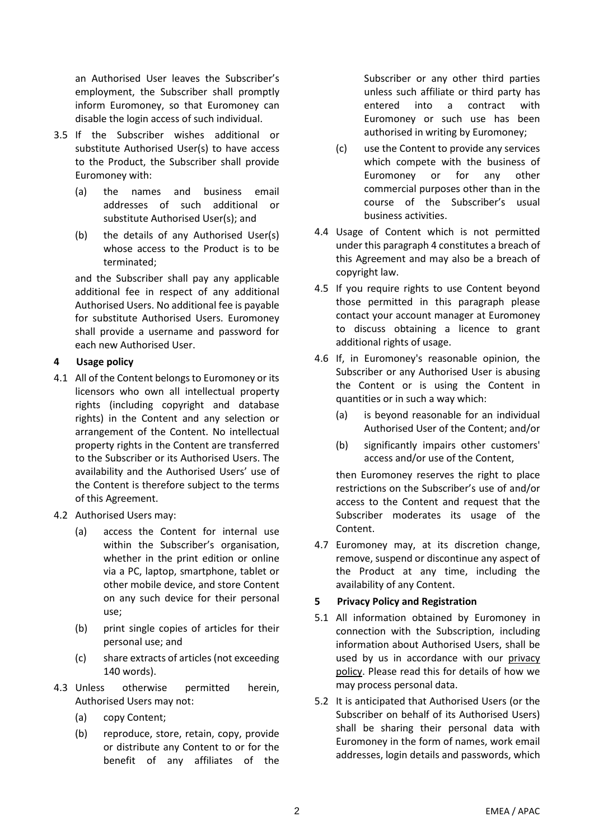an Authorised User leaves the Subscriber's employment, the Subscriber shall promptly inform Euromoney, so that Euromoney can disable the login access of such individual.

- 3.5 If the Subscriber wishes additional or substitute Authorised User(s) to have access to the Product, the Subscriber shall provide Euromoney with:
	- (a) the names and business email addresses of such additional or substitute Authorised User(s); and
	- (b) the details of any Authorised User(s) whose access to the Product is to be terminated;

and the Subscriber shall pay any applicable additional fee in respect of any additional Authorised Users. No additional fee is payable for substitute Authorised Users. Euromoney shall provide a username and password for each new Authorised User.

## <span id="page-1-0"></span>**4 Usage policy**

- 4.1 All of the Content belongs to Euromoney or its licensors who own all intellectual property rights (including copyright and database rights) in the Content and any selection or arrangement of the Content. No intellectual property rights in the Content are transferred to the Subscriber or its Authorised Users. The availability and the Authorised Users' use of the Content is therefore subject to the terms of this Agreement.
- 4.2 Authorised Users may:
	- (a) access the Content for internal use within the Subscriber's organisation, whether in the print edition or online via a PC, laptop, smartphone, tablet or other mobile device, and store Content on any such device for their personal use;
	- (b) print single copies of articles for their personal use; and
	- (c) share extracts of articles (not exceeding 140 words).
- 4.3 Unless otherwise permitted herein, Authorised Users may not:
	- (a) copy Content;
	- (b) reproduce, store, retain, copy, provide or distribute any Content to or for the benefit of any affiliates of the

Subscriber or any other third parties unless such affiliate or third party has entered into a contract with Euromoney or such use has been authorised in writing by Euromoney;

- (c) use the Content to provide any services which compete with the business of Euromoney or for any other commercial purposes other than in the course of the Subscriber's usual business activities.
- 4.4 Usage of Content which is not permitted under this paragrap[h 4](#page-1-0) constitutes a breach of this Agreement and may also be a breach of copyright law.
- 4.5 If you require rights to use Content beyond those permitted in this paragraph please contact your account manager at Euromoney to discuss obtaining a licence to grant additional rights of usage.
- 4.6 If, in Euromoney's reasonable opinion, the Subscriber or any Authorised User is abusing the Content or is using the Content in quantities or in such a way which:
	- (a) is beyond reasonable for an individual Authorised User of the Content; and/or
	- (b) significantly impairs other customers' access and/or use of the Content,

then Euromoney reserves the right to place restrictions on the Subscriber's use of and/or access to the Content and request that the Subscriber moderates its usage of the Content.

4.7 Euromoney may, at its discretion change, remove, suspend or discontinue any aspect of the Product at any time, including the availability of any Content.

# **5 Privacy Policy and Registration**

- 5.1 All information obtained by Euromoney in connection with the Subscription, including information about Authorised Users, shall be used by us in accordance with our [privacy](https://www.euromoney.com/privacy-policy)  [policy.](https://www.euromoney.com/privacy-policy) Please read this for details of how we may process personal data.
- 5.2 It is anticipated that Authorised Users (or the Subscriber on behalf of its Authorised Users) shall be sharing their personal data with Euromoney in the form of names, work email addresses, login details and passwords, which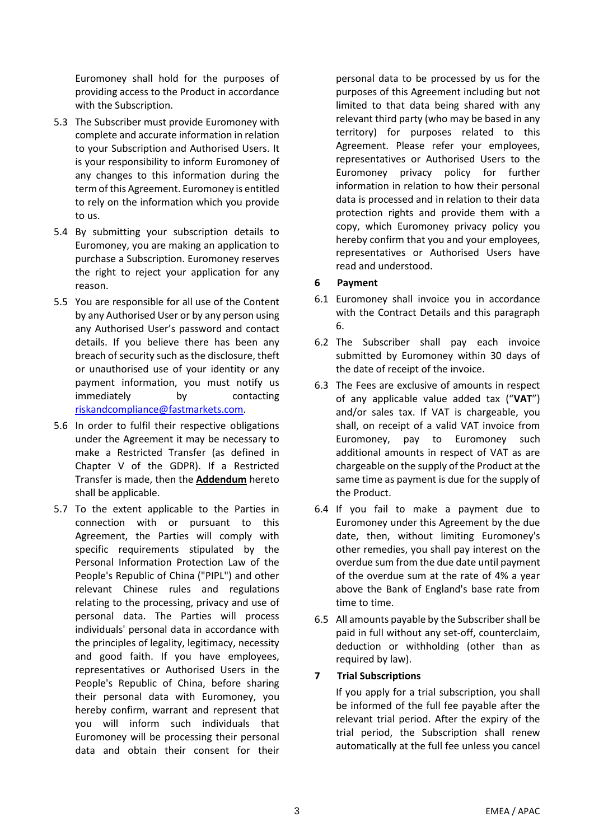Euromoney shall hold for the purposes of providing access to the Product in accordance with the Subscription.

- 5.3 The Subscriber must provide Euromoney with complete and accurate information in relation to your Subscription and Authorised Users. It is your responsibility to inform Euromoney of any changes to this information during the term of this Agreement. Euromoney is entitled to rely on the information which you provide to us.
- 5.4 By submitting your subscription details to Euromoney, you are making an application to purchase a Subscription. Euromoney reserves the right to reject your application for any reason.
- 5.5 You are responsible for all use of the Content by any Authorised User or by any person using any Authorised User's password and contact details. If you believe there has been any breach of security such as the disclosure, theft or unauthorised use of your identity or any payment information, you must notify us immediately by contacting [riskandcompliance@fastmarkets.com.](mailto:riskandcompliance@fastmarkets.com)
- 5.6 In order to fulfil their respective obligations under the Agreement it may be necessary to make a Restricted Transfer (as defined in Chapter V of the GDPR). If a Restricted Transfer is made, then the **Addendum** hereto shall be applicable.
- 5.7 To the extent applicable to the Parties in connection with or pursuant to this Agreement, the Parties will comply with specific requirements stipulated by the Personal Information Protection Law of the People's Republic of China ("PIPL") and other relevant Chinese rules and regulations relating to the processing, privacy and use of personal data. The Parties will process individuals' personal data in accordance with the principles of legality, legitimacy, necessity and good faith. If you have employees, representatives or Authorised Users in the People's Republic of China, before sharing their personal data with Euromoney, you hereby confirm, warrant and represent that you will inform such individuals that Euromoney will be processing their personal data and obtain their consent for their

personal data to be processed by us for the purposes of this Agreement including but not limited to that data being shared with any relevant third party (who may be based in any territory) for purposes related to this Agreement. Please refer your employees, representatives or Authorised Users to the Euromoney privacy policy for further information in relation to how their personal data is processed and in relation to their data protection rights and provide them with a copy, which Euromoney privacy policy you hereby confirm that you and your employees, representatives or Authorised Users have read and understood.

# <span id="page-2-0"></span>**6 Payment**

- 6.1 Euromoney shall invoice you in accordance with the Contract Details and this paragraph [6.](#page-2-0)
- 6.2 The Subscriber shall pay each invoice submitted by Euromoney within 30 days of the date of receipt of the invoice.
- 6.3 The Fees are exclusive of amounts in respect of any applicable value added tax ("**VAT**") and/or sales tax. If VAT is chargeable, you shall, on receipt of a valid VAT invoice from Euromoney, pay to Euromoney such additional amounts in respect of VAT as are chargeable on the supply of the Product at the same time as payment is due for the supply of the Product.
- 6.4 If you fail to make a payment due to Euromoney under this Agreement by the due date, then, without limiting Euromoney's other remedies, you shall pay interest on the overdue sum from the due date until payment of the overdue sum at the rate of 4% a year above the Bank of England's base rate from time to time.
- 6.5 All amounts payable by the Subscriber shall be paid in full without any set-off, counterclaim, deduction or withholding (other than as required by law).

# **7 Trial Subscriptions**

If you apply for a trial subscription, you shall be informed of the full fee payable after the relevant trial period. After the expiry of the trial period, the Subscription shall renew automatically at the full fee unless you cancel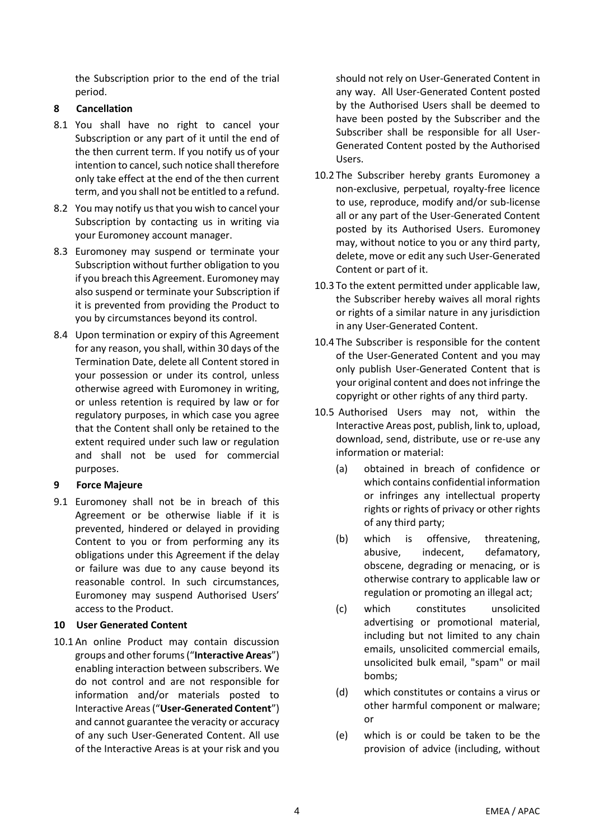the Subscription prior to the end of the trial period.

# **8 Cancellation**

- 8.1 You shall have no right to cancel your Subscription or any part of it until the end of the then current term. If you notify us of your intention to cancel, such notice shall therefore only take effect at the end of the then current term, and you shall not be entitled to a refund.
- 8.2 You may notify us that you wish to cancel your Subscription by contacting us in writing via your Euromoney account manager.
- 8.3 Euromoney may suspend or terminate your Subscription without further obligation to you if you breach this Agreement. Euromoney may also suspend or terminate your Subscription if it is prevented from providing the Product to you by circumstances beyond its control.
- 8.4 Upon termination or expiry of this Agreement for any reason, you shall, within 30 days of the Termination Date, delete all Content stored in your possession or under its control, unless otherwise agreed with Euromoney in writing, or unless retention is required by law or for regulatory purposes, in which case you agree that the Content shall only be retained to the extent required under such law or regulation and shall not be used for commercial purposes.

# **9 Force Majeure**

9.1 Euromoney shall not be in breach of this Agreement or be otherwise liable if it is prevented, hindered or delayed in providing Content to you or from performing any its obligations under this Agreement if the delay or failure was due to any cause beyond its reasonable control. In such circumstances, Euromoney may suspend Authorised Users' access to the Product.

# **10 User Generated Content**

10.1 An online Product may contain discussion groups and other forums ("**Interactive Areas**") enabling interaction between subscribers. We do not control and are not responsible for information and/or materials posted to Interactive Areas ("**User-Generated Content**") and cannot guarantee the veracity or accuracy of any such User-Generated Content. All use of the Interactive Areas is at your risk and you should not rely on User-Generated Content in any way. All User-Generated Content posted by the Authorised Users shall be deemed to have been posted by the Subscriber and the Subscriber shall be responsible for all User-Generated Content posted by the Authorised Users.

- 10.2 The Subscriber hereby grants Euromoney a non-exclusive, perpetual, royalty-free licence to use, reproduce, modify and/or sub-license all or any part of the User-Generated Content posted by its Authorised Users. Euromoney may, without notice to you or any third party, delete, move or edit any such User-Generated Content or part of it.
- 10.3 To the extent permitted under applicable law, the Subscriber hereby waives all moral rights or rights of a similar nature in any jurisdiction in any User-Generated Content.
- 10.4 The Subscriber is responsible for the content of the User-Generated Content and you may only publish User-Generated Content that is your original content and does not infringe the copyright or other rights of any third party.
- 10.5 Authorised Users may not, within the Interactive Areas post, publish, link to, upload, download, send, distribute, use or re-use any information or material:
	- (a) obtained in breach of confidence or which contains confidential information or infringes any intellectual property rights or rights of privacy or other rights of any third party;
	- (b) which is offensive, threatening, abusive, indecent, defamatory, obscene, degrading or menacing, or is otherwise contrary to applicable law or regulation or promoting an illegal act;
	- (c) which constitutes unsolicited advertising or promotional material, including but not limited to any chain emails, unsolicited commercial emails, unsolicited bulk email, "spam" or mail bombs;
	- (d) which constitutes or contains a virus or other harmful component or malware; or
	- (e) which is or could be taken to be the provision of advice (including, without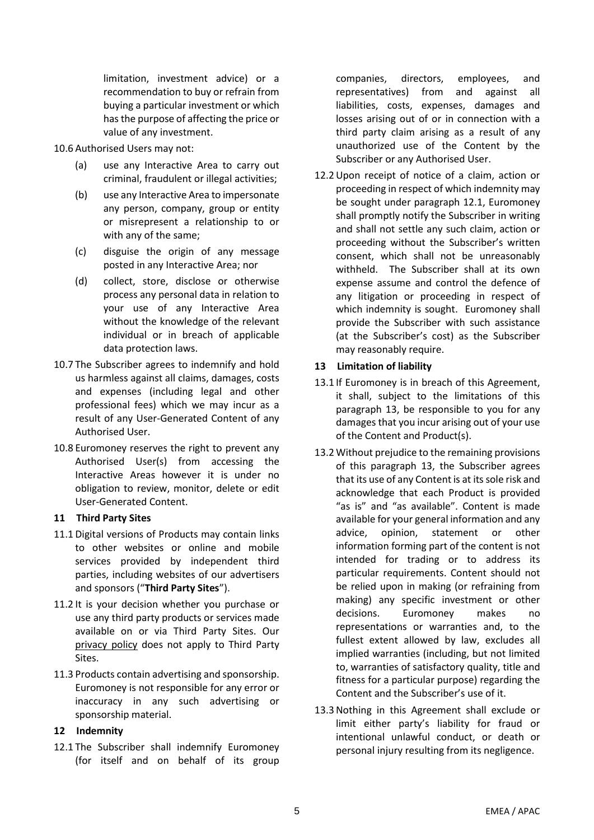limitation, investment advice) or a recommendation to buy or refrain from buying a particular investment or which has the purpose of affecting the price or value of any investment.

10.6 Authorised Users may not:

- (a) use any Interactive Area to carry out criminal, fraudulent or illegal activities;
- (b) use any Interactive Area to impersonate any person, company, group or entity or misrepresent a relationship to or with any of the same;
- (c) disguise the origin of any message posted in any Interactive Area; nor
- (d) collect, store, disclose or otherwise process any personal data in relation to your use of any Interactive Area without the knowledge of the relevant individual or in breach of applicable data protection laws.
- 10.7 The Subscriber agrees to indemnify and hold us harmless against all claims, damages, costs and expenses (including legal and other professional fees) which we may incur as a result of any User-Generated Content of any Authorised User.
- 10.8 Euromoney reserves the right to prevent any Authorised User(s) from accessing the Interactive Areas however it is under no obligation to review, monitor, delete or edit User-Generated Content.

### **11 Third Party Sites**

- 11.1 Digital versions of Products may contain links to other websites or online and mobile services provided by independent third parties, including websites of our advertisers and sponsors ("**Third Party Sites**").
- 11.2 It is your decision whether you purchase or use any third party products or services made available on or via Third Party Sites. Our [privacy policy](https://www.euromoney.com/privacy-policy) does not apply to Third Party Sites.
- 11.3 Products contain advertising and sponsorship. Euromoney is not responsible for any error or inaccuracy in any such advertising or sponsorship material.

# **12 Indemnity**

<span id="page-4-0"></span>12.1 The Subscriber shall indemnify Euromoney (for itself and on behalf of its group companies, directors, employees, and representatives) from and against all liabilities, costs, expenses, damages and losses arising out of or in connection with a third party claim arising as a result of any unauthorized use of the Content by the Subscriber or any Authorised User.

12.2Upon receipt of notice of a claim, action or proceeding in respect of which indemnity may be sought under paragraph [12.1,](#page-4-0) Euromoney shall promptly notify the Subscriber in writing and shall not settle any such claim, action or proceeding without the Subscriber's written consent, which shall not be unreasonably withheld. The Subscriber shall at its own expense assume and control the defence of any litigation or proceeding in respect of which indemnity is sought. Euromoney shall provide the Subscriber with such assistance (at the Subscriber's cost) as the Subscriber may reasonably require.

## <span id="page-4-1"></span>**13 Limitation of liability**

- 13.1 If Euromoney is in breach of this Agreement, it shall, subject to the limitations of this paragraph [13,](#page-4-1) be responsible to you for any damages that you incur arising out of your use of the Content and Product(s).
- 13.2 Without prejudice to the remaining provisions of this paragraph [13,](#page-4-1) the Subscriber agrees that its use of any Content is at its sole risk and acknowledge that each Product is provided "as is" and "as available". Content is made available for your general information and any advice, opinion, statement or other information forming part of the content is not intended for trading or to address its particular requirements. Content should not be relied upon in making (or refraining from making) any specific investment or other decisions. Euromoney makes no representations or warranties and, to the fullest extent allowed by law, excludes all implied warranties (including, but not limited to, warranties of satisfactory quality, title and fitness for a particular purpose) regarding the Content and the Subscriber's use of it.
- 13.3Nothing in this Agreement shall exclude or limit either party's liability for fraud or intentional unlawful conduct, or death or personal injury resulting from its negligence.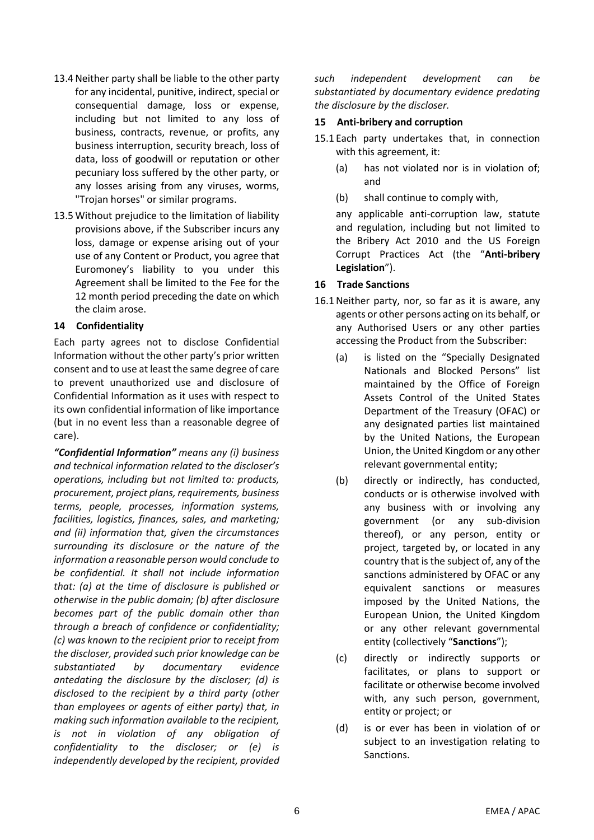- 13.4Neither party shall be liable to the other party for any incidental, punitive, indirect, special or consequential damage, loss or expense, including but not limited to any loss of business, contracts, revenue, or profits, any business interruption, security breach, loss of data, loss of goodwill or reputation or other pecuniary loss suffered by the other party, or any losses arising from any viruses, worms, "Trojan horses" or similar programs.
- 13.5 Without prejudice to the limitation of liability provisions above, if the Subscriber incurs any loss, damage or expense arising out of your use of any Content or Product, you agree that Euromoney's liability to you under this Agreement shall be limited to the Fee for the 12 month period preceding the date on which the claim arose.

### **14 Confidentiality**

Each party agrees not to disclose Confidential Information without the other party's prior written consent and to use at least the same degree of care to prevent unauthorized use and disclosure of Confidential Information as it uses with respect to its own confidential information of like importance (but in no event less than a reasonable degree of care).

*"Confidential Information" means any (i) business and technical information related to the discloser's operations, including but not limited to: products, procurement, project plans, requirements, business terms, people, processes, information systems, facilities, logistics, finances, sales, and marketing; and (ii) information that, given the circumstances surrounding its disclosure or the nature of the information a reasonable person would conclude to be confidential. It shall not include information that: (a) at the time of disclosure is published or otherwise in the public domain; (b) after disclosure becomes part of the public domain other than through a breach of confidence or confidentiality; (c) was known to the recipient prior to receipt from the discloser, provided such prior knowledge can be substantiated by documentary evidence antedating the disclosure by the discloser; (d) is disclosed to the recipient by a third party (other than employees or agents of either party) that, in making such information available to the recipient, is not in violation of any obligation of confidentiality to the discloser; or (e) is independently developed by the recipient, provided* 

*such independent development can be substantiated by documentary evidence predating the disclosure by the discloser.*

#### **15 Anti-bribery and corruption**

- 15.1 Each party undertakes that, in connection with this agreement, it:
	- (a) has not violated nor is in violation of; and
	- (b) shall continue to comply with,

any applicable anti-corruption law, statute and regulation, including but not limited to the Bribery Act 2010 and the US Foreign Corrupt Practices Act (the "**Anti-bribery Legislation**").

### **16 Trade Sanctions**

- 16.1Neither party, nor, so far as it is aware, any agents or other persons acting on its behalf, or any Authorised Users or any other parties accessing the Product from the Subscriber:
	- (a) is listed on the "Specially Designated Nationals and Blocked Persons" list maintained by the Office of Foreign Assets Control of the United States Department of the Treasury (OFAC) or any designated parties list maintained by the United Nations, the European Union, the United Kingdom or any other relevant governmental entity;
	- (b) directly or indirectly, has conducted, conducts or is otherwise involved with any business with or involving any government (or any sub-division thereof), or any person, entity or project, targeted by, or located in any country that is the subject of, any of the sanctions administered by OFAC or any equivalent sanctions or measures imposed by the United Nations, the European Union, the United Kingdom or any other relevant governmental entity (collectively "**Sanctions**");
	- (c) directly or indirectly supports or facilitates, or plans to support or facilitate or otherwise become involved with, any such person, government, entity or project; or
	- (d) is or ever has been in violation of or subject to an investigation relating to Sanctions.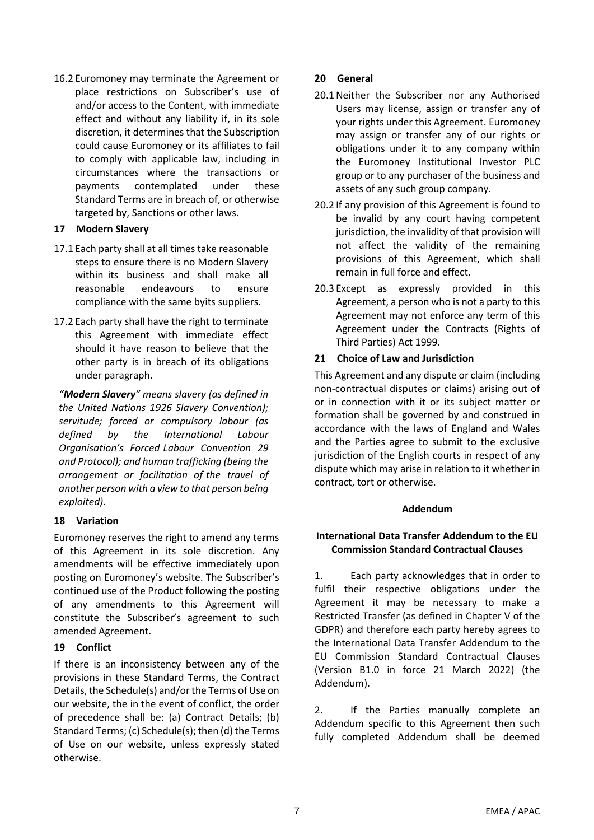16.2 Euromoney may terminate the Agreement or place restrictions on Subscriber's use of and/or access to the Content, with immediate effect and without any liability if, in its sole discretion, it determines that the Subscription could cause Euromoney or its affiliates to fail to comply with applicable law, including in circumstances where the transactions or payments contemplated under these Standard Terms are in breach of, or otherwise targeted by, Sanctions or other laws.

## **17 Modern Slavery**

- 17.1 Each party shall at all times take reasonable steps to ensure there is no Modern Slavery within its business and shall make all reasonable endeavours to ensure compliance with the same byits suppliers.
- 17.2 Each party shall have the right to terminate this Agreement with immediate effect should it have reason to believe that the other party is in breach of its obligations under paragraph.

*"Modern Slavery" means slavery (as defined in the United Nations 1926 Slavery Convention); servitude; forced or compulsory labour (as defined by the International Labour Organisation's Forced Labour Convention 29 and Protocol); and human trafficking (being the arrangement or facilitation of the travel of another person with a view to that person being exploited).*

# **18 Variation**

Euromoney reserves the right to amend any terms of this Agreement in its sole discretion. Any amendments will be effective immediately upon posting on Euromoney's website. The Subscriber's continued use of the Product following the posting of any amendments to this Agreement will constitute the Subscriber's agreement to such amended Agreement.

### **19 Conflict**

If there is an inconsistency between any of the provisions in these Standard Terms, the Contract Details, the Schedule(s) and/or the Terms of Use on our website, the in the event of conflict, the order of precedence shall be: (a) Contract Details; (b) Standard Terms; (c) Schedule(s); then (d) the Terms of Use on our website, unless expressly stated otherwise.

### **20 General**

- 20.1Neither the Subscriber nor any Authorised Users may license, assign or transfer any of your rights under this Agreement. Euromoney may assign or transfer any of our rights or obligations under it to any company within the Euromoney Institutional Investor PLC group or to any purchaser of the business and assets of any such group company.
- 20.2 If any provision of this Agreement is found to be invalid by any court having competent jurisdiction, the invalidity of that provision will not affect the validity of the remaining provisions of this Agreement, which shall remain in full force and effect.
- 20.3 Except as expressly provided in this Agreement, a person who is not a party to this Agreement may not enforce any term of this Agreement under the Contracts (Rights of Third Parties) Act 1999.

## **21 Choice of Law and Jurisdiction**

This Agreement and any dispute or claim (including non-contractual disputes or claims) arising out of or in connection with it or its subject matter or formation shall be governed by and construed in accordance with the laws of England and Wales and the Parties agree to submit to the exclusive jurisdiction of the English courts in respect of any dispute which may arise in relation to it whether in contract, tort or otherwise.

### **Addendum**

## **International Data Transfer Addendum to the EU Commission Standard Contractual Clauses**

1. Each party acknowledges that in order to fulfil their respective obligations under the Agreement it may be necessary to make a Restricted Transfer (as defined in Chapter V of the GDPR) and therefore each party hereby agrees to the International Data Transfer Addendum to the EU Commission Standard Contractual Clauses (Version B1.0 in force 21 March 2022) (the Addendum).

2. If the Parties manually complete an Addendum specific to this Agreement then such fully completed Addendum shall be deemed